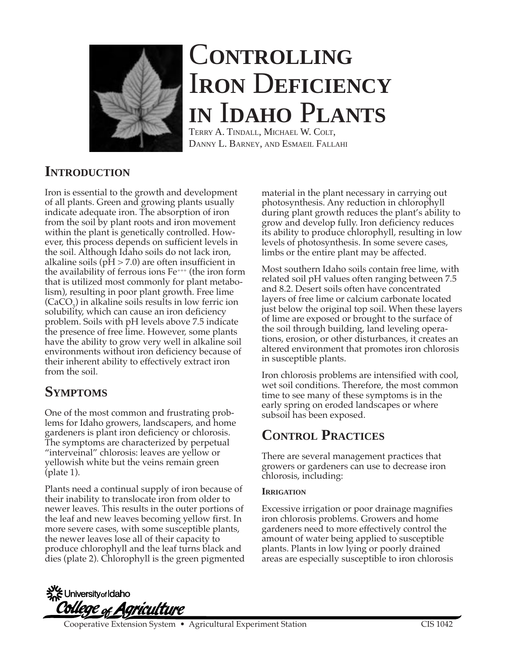

# C**ONTROLLING** I**RON** D**EFICIENCY IN** I**DAHO** P**LANTS**

TERRY A. TINDALL, MICHAEL W. COLT, DANNY L. BARNEY, AND ESMAEIL FALLAHI

## **INTRODUCTION**

Iron is essential to the growth and development of all plants. Green and growing plants usually indicate adequate iron. The absorption of iron from the soil by plant roots and iron movement within the plant is genetically controlled. However, this process depends on sufficient levels in the soil. Although Idaho soils do not lack iron, alkaline soils ( $pH > 7.0$ ) are often insufficient in the availability of ferrous ions  $Fe^{++}$  (the iron form that is utilized most commonly for plant metabolism), resulting in poor plant growth. Free lime  $(CaCO<sub>3</sub>)$  in alkaline soils results in low ferric ion solubility, which can cause an iron deficiency problem. Soils with pH levels above 7.5 indicate the presence of free lime. However, some plants have the ability to grow very well in alkaline soil environments without iron deficiency because of their inherent ability to effectively extract iron from the soil.

## **SYMPTOMS**

One of the most common and frustrating problems for Idaho growers, landscapers, and home gardeners is plant iron deficiency or chlorosis. The symptoms are characterized by perpetual "interveinal" chlorosis: leaves are yellow or yellowish white but the veins remain green (plate 1).

Plants need a continual supply of iron because of their inability to translocate iron from older to newer leaves. This results in the outer portions of the leaf and new leaves becoming yellow first. In more severe cases, with some susceptible plants, the newer leaves lose all of their capacity to produce chlorophyll and the leaf turns black and dies (plate 2). Chlorophyll is the green pigmented material in the plant necessary in carrying out photosynthesis. Any reduction in chlorophyll during plant growth reduces the plant's ability to grow and develop fully. Iron deficiency reduces its ability to produce chlorophyll, resulting in low levels of photosynthesis. In some severe cases, limbs or the entire plant may be affected.

Most southern Idaho soils contain free lime, with related soil pH values often ranging between 7.5 and 8.2. Desert soils often have concentrated layers of free lime or calcium carbonate located just below the original top soil. When these layers of lime are exposed or brought to the surface of the soil through building, land leveling operations, erosion, or other disturbances, it creates an altered environment that promotes iron chlorosis in susceptible plants.

Iron chlorosis problems are intensified with cool, wet soil conditions. Therefore, the most common time to see many of these symptoms is in the early spring on eroded landscapes or where subsoil has been exposed.

# **CONTROL PRACTICES**

There are several management practices that growers or gardeners can use to decrease iron chlorosis, including:

### **IRRIGATION**

Excessive irrigation or poor drainage magnifies iron chlorosis problems. Growers and home gardeners need to more effectively control the amount of water being applied to susceptible plants. Plants in low lying or poorly drained areas are especially susceptible to iron chlorosis

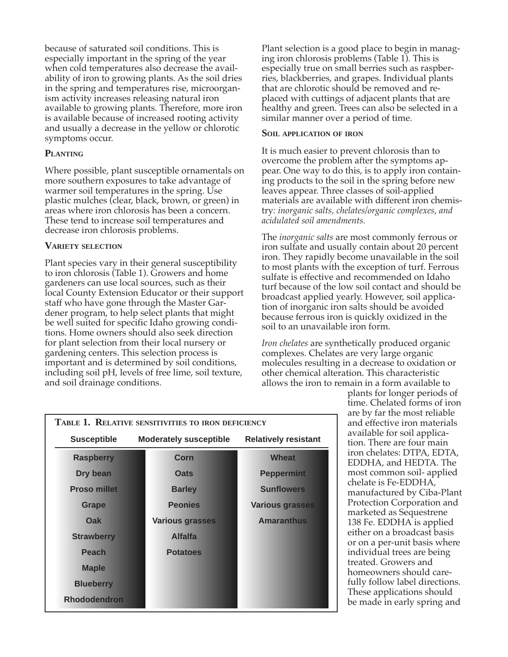because of saturated soil conditions. This is especially important in the spring of the year when cold temperatures also decrease the availability of iron to growing plants. As the soil dries in the spring and temperatures rise, microorganism activity increases releasing natural iron available to growing plants. Therefore, more iron is available because of increased rooting activity and usually a decrease in the yellow or chlorotic symptoms occur.

#### **PLANTING**

Where possible, plant susceptible ornamentals on more southern exposures to take advantage of warmer soil temperatures in the spring. Use plastic mulches (clear, black, brown, or green) in areas where iron chlorosis has been a concern. These tend to increase soil temperatures and decrease iron chlorosis problems.

#### **VARIETY SELECTION**

Plant species vary in their general susceptibility to iron chlorosis (Table 1). Growers and home gardeners can use local sources, such as their local County Extension Educator or their support staff who have gone through the Master Gardener program, to help select plants that might be well suited for specific Idaho growing conditions. Home owners should also seek direction for plant selection from their local nursery or gardening centers. This selection process is important and is determined by soil conditions, including soil pH, levels of free lime, soil texture, and soil drainage conditions.

Plant selection is a good place to begin in managing iron chlorosis problems (Table 1). This is especially true on small berries such as raspberries, blackberries, and grapes. Individual plants that are chlorotic should be removed and replaced with cuttings of adjacent plants that are healthy and green. Trees can also be selected in a similar manner over a period of time.

#### **SOIL APPLICATION OF IRON**

It is much easier to prevent chlorosis than to overcome the problem after the symptoms appear. One way to do this, is to apply iron containing products to the soil in the spring before new leaves appear. Three classes of soil-applied materials are available with different iron chemistry*: inorganic salts, chelates/organic complexes, and acidulated soil amendments.*

The *inorganic salts* are most commonly ferrous or iron sulfate and usually contain about 20 percent iron. They rapidly become unavailable in the soil to most plants with the exception of turf. Ferrous sulfate is effective and recommended on Idaho turf because of the low soil contact and should be broadcast applied yearly. However, soil application of inorganic iron salts should be avoided because ferrous iron is quickly oxidized in the soil to an unavailable iron form.

*Iron chelates* are synthetically produced organic complexes. Chelates are very large organic molecules resulting in a decrease to oxidation or other chemical alteration. This characteristic allows the iron to remain in a form available to

| TABLE 1. RELATIVE SENSITIVITIES TO IRON DEFICIENCY |                               |                             |
|----------------------------------------------------|-------------------------------|-----------------------------|
| <b>Susceptible</b>                                 | <b>Moderately susceptible</b> | <b>Relatively resistant</b> |
| <b>Raspberry</b>                                   | Corn                          | <b>Wheat</b>                |
| Dry bean                                           | <b>Oats</b>                   | <b>Peppermint</b>           |
| <b>Proso millet</b>                                | <b>Barley</b>                 | <b>Sunflowers</b>           |
| <b>Grape</b>                                       | <b>Peonies</b>                | <b>Various grasses</b>      |
| Oak                                                | <b>Various grasses</b>        | <b>Amaranthus</b>           |
| <b>Strawberry</b>                                  | <b>Alfalfa</b>                |                             |
| <b>Peach</b>                                       | <b>Potatoes</b>               |                             |
| <b>Maple</b>                                       |                               |                             |
| <b>Blueberry</b>                                   |                               |                             |
| <b>Rhododendron</b>                                |                               |                             |

plants for longer periods of time. Chelated forms of iron are by far the most reliable and effective iron materials available for soil application. There are four main iron chelates: DTPA, EDTA, EDDHA, and HEDTA. The most common soil- applied chelate is Fe-EDDHA, manufactured by Ciba-Plant Protection Corporation and marketed as Sequestrene 138 Fe. EDDHA is applied either on a broadcast basis or on a per-unit basis where individual trees are being treated. Growers and homeowners should carefully follow label directions. These applications should be made in early spring and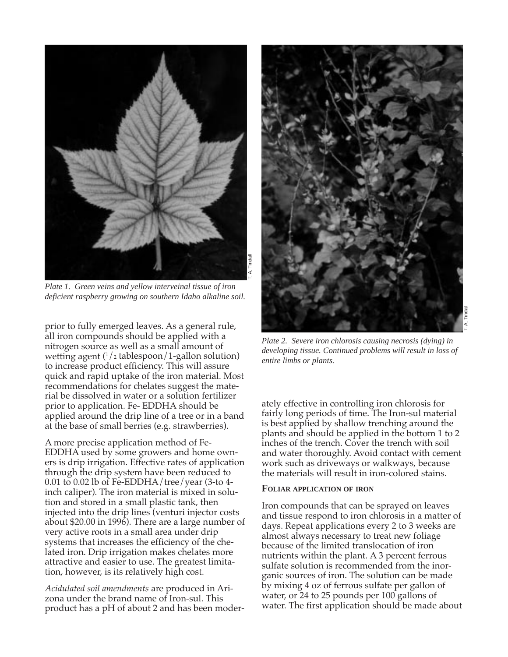

*Plate 1. Green veins and yellow interveinal tissue of iron deficient raspberry growing on southern Idaho alkaline soil.*

prior to fully emerged leaves. As a general rule, all iron compounds should be applied with a nitrogen source as well as a small amount of wetting agent (1 /2 tablespoon/1-gallon solution) to increase product efficiency. This will assure quick and rapid uptake of the iron material. Most recommendations for chelates suggest the material be dissolved in water or a solution fertilizer prior to application. Fe- EDDHA should be applied around the drip line of a tree or in a band at the base of small berries (e.g. strawberries).

A more precise application method of Fe-EDDHA used by some growers and home owners is drip irrigation. Effective rates of application through the drip system have been reduced to 0.01 to 0.02 lb of Fe-EDDHA/tree/year (3-to 4 inch caliper). The iron material is mixed in solution and stored in a small plastic tank, then injected into the drip lines (venturi injector costs about \$20.00 in 1996). There are a large number of very active roots in a small area under drip systems that increases the efficiency of the chelated iron. Drip irrigation makes chelates more attractive and easier to use. The greatest limitation, however, is its relatively high cost.

*Acidulated soil amendments* are produced in Arizona under the brand name of Iron-sul. This product has a pH of about 2 and has been moder-



*Plate 2. Severe iron chlorosis causing necrosis (dying) in developing tissue. Continued problems will result in loss of entire limbs or plants.*

ately effective in controlling iron chlorosis for fairly long periods of time. The Iron-sul material is best applied by shallow trenching around the plants and should be applied in the bottom 1 to 2 inches of the trench. Cover the trench with soil and water thoroughly. Avoid contact with cement work such as driveways or walkways, because the materials will result in iron-colored stains.

#### **FOLIAR APPLICATION OF IRON**

Iron compounds that can be sprayed on leaves and tissue respond to iron chlorosis in a matter of days. Repeat applications every 2 to 3 weeks are almost always necessary to treat new foliage because of the limited translocation of iron nutrients within the plant. A 3 percent ferrous sulfate solution is recommended from the inorganic sources of iron. The solution can be made by mixing 4 oz of ferrous sulfate per gallon of water, or 24 to 25 pounds per 100 gallons of water. The first application should be made about